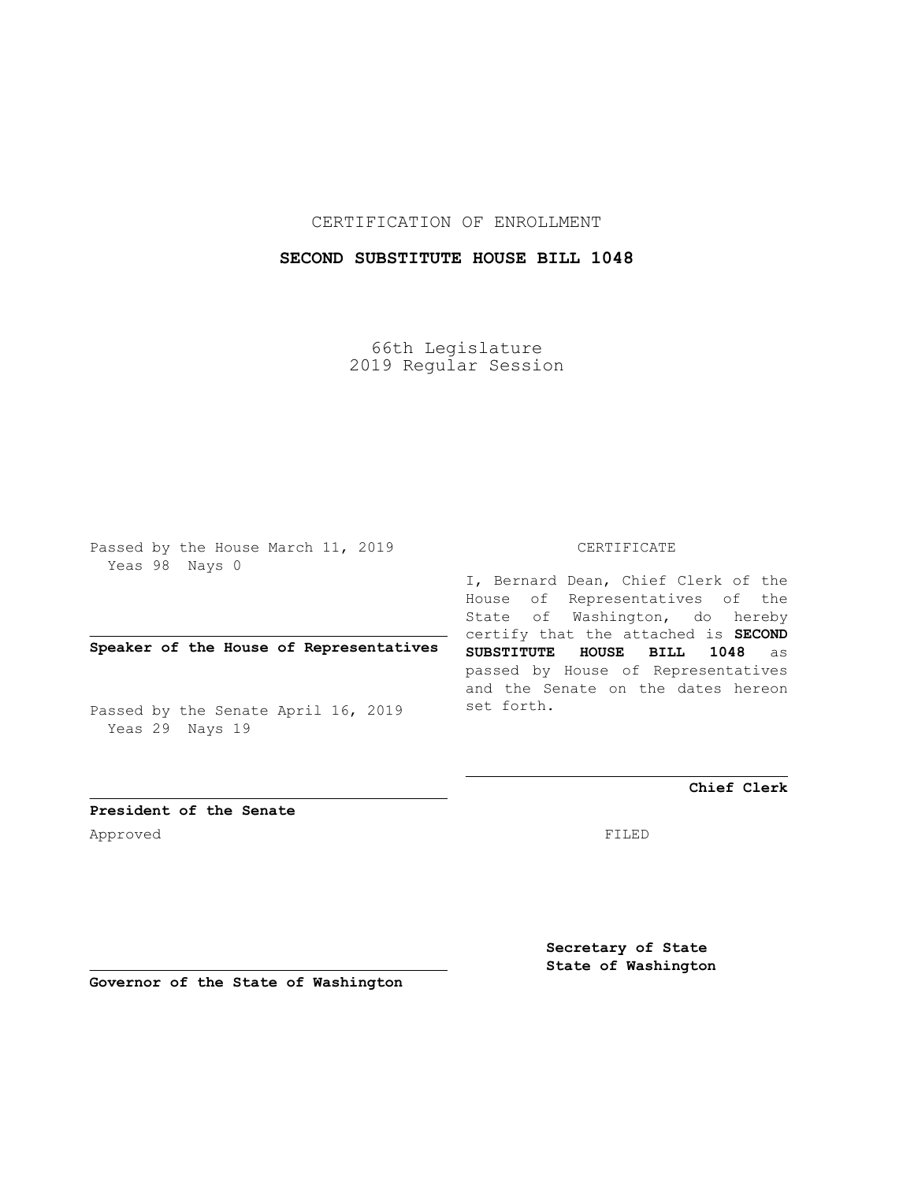CERTIFICATION OF ENROLLMENT

## **SECOND SUBSTITUTE HOUSE BILL 1048**

66th Legislature 2019 Regular Session

Passed by the House March 11, 2019 Yeas 98 Nays 0

## **Speaker of the House of Representatives**

Passed by the Senate April 16, 2019 Yeas 29 Nays 19

## CERTIFICATE

I, Bernard Dean, Chief Clerk of the House of Representatives of the State of Washington, do hereby certify that the attached is **SECOND SUBSTITUTE HOUSE BILL 1048** as passed by House of Representatives and the Senate on the dates hereon set forth.

**Chief Clerk**

**President of the Senate** Approved FILED

> **Secretary of State State of Washington**

**Governor of the State of Washington**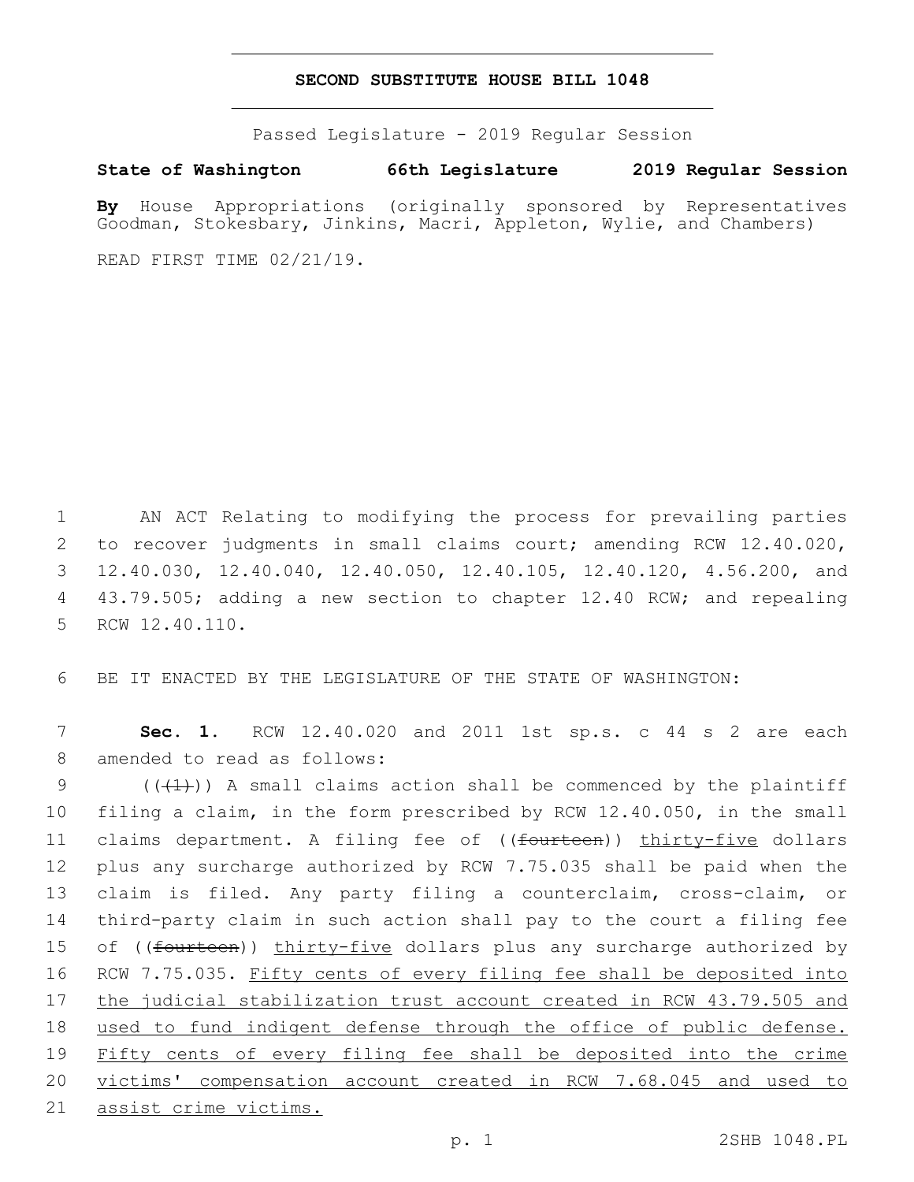## **SECOND SUBSTITUTE HOUSE BILL 1048**

Passed Legislature - 2019 Regular Session

**State of Washington 66th Legislature 2019 Regular Session**

**By** House Appropriations (originally sponsored by Representatives Goodman, Stokesbary, Jinkins, Macri, Appleton, Wylie, and Chambers)

READ FIRST TIME 02/21/19.

1 AN ACT Relating to modifying the process for prevailing parties 2 to recover judgments in small claims court; amending RCW 12.40.020, 3 12.40.030, 12.40.040, 12.40.050, 12.40.105, 12.40.120, 4.56.200, and 4 43.79.505; adding a new section to chapter 12.40 RCW; and repealing 5 RCW 12.40.110.

6 BE IT ENACTED BY THE LEGISLATURE OF THE STATE OF WASHINGTON:

7 **Sec. 1.** RCW 12.40.020 and 2011 1st sp.s. c 44 s 2 are each 8 amended to read as follows:

 $((+1))$  A small claims action shall be commenced by the plaintiff filing a claim, in the form prescribed by RCW 12.40.050, in the small 11 claims department. A filing fee of ((<del>fourteen</del>)) thirty-five dollars plus any surcharge authorized by RCW 7.75.035 shall be paid when the claim is filed. Any party filing a counterclaim, cross-claim, or third-party claim in such action shall pay to the court a filing fee 15 of ((fourteen)) thirty-five dollars plus any surcharge authorized by 16 RCW 7.75.035. Fifty cents of every filing fee shall be deposited into 17 the judicial stabilization trust account created in RCW 43.79.505 and used to fund indigent defense through the office of public defense. Fifty cents of every filing fee shall be deposited into the crime victims' compensation account created in RCW 7.68.045 and used to assist crime victims.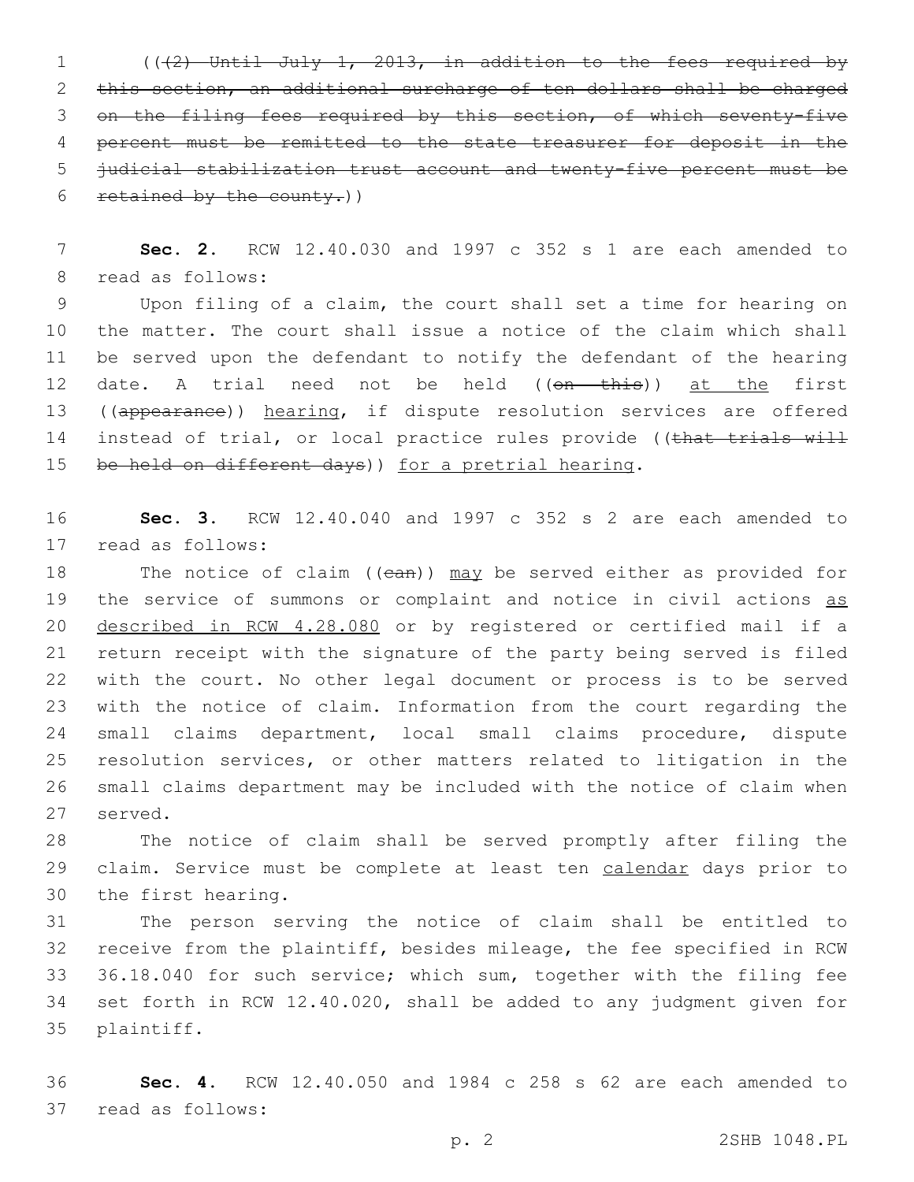(((2) Until July 1, 2013, in addition to the fees required by this section, an additional surcharge of ten dollars shall be charged on the filing fees required by this section, of which seventy-five percent must be remitted to the state treasurer for deposit in the judicial stabilization trust account and twenty-five percent must be 6 retained by the county.)

 **Sec. 2.** RCW 12.40.030 and 1997 c 352 s 1 are each amended to 8 read as follows:

 Upon filing of a claim, the court shall set a time for hearing on the matter. The court shall issue a notice of the claim which shall be served upon the defendant to notify the defendant of the hearing 12 date. A trial need not be held ((on this)) at the first 13 ((appearance)) hearing, if dispute resolution services are offered 14 instead of trial, or local practice rules provide ((that trials will 15 be held on different days)) for a pretrial hearing.

 **Sec. 3.** RCW 12.40.040 and 1997 c 352 s 2 are each amended to 17 read as follows:

18 The notice of claim ((can)) may be served either as provided for 19 the service of summons or complaint and notice in civil actions as described in RCW 4.28.080 or by registered or certified mail if a return receipt with the signature of the party being served is filed with the court. No other legal document or process is to be served with the notice of claim. Information from the court regarding the small claims department, local small claims procedure, dispute resolution services, or other matters related to litigation in the small claims department may be included with the notice of claim when 27 served.

 The notice of claim shall be served promptly after filing the 29 claim. Service must be complete at least ten calendar days prior to 30 the first hearing.

 The person serving the notice of claim shall be entitled to receive from the plaintiff, besides mileage, the fee specified in RCW 36.18.040 for such service; which sum, together with the filing fee set forth in RCW 12.40.020, shall be added to any judgment given for 35 plaintiff.

 **Sec. 4.** RCW 12.40.050 and 1984 c 258 s 62 are each amended to 37 read as follows: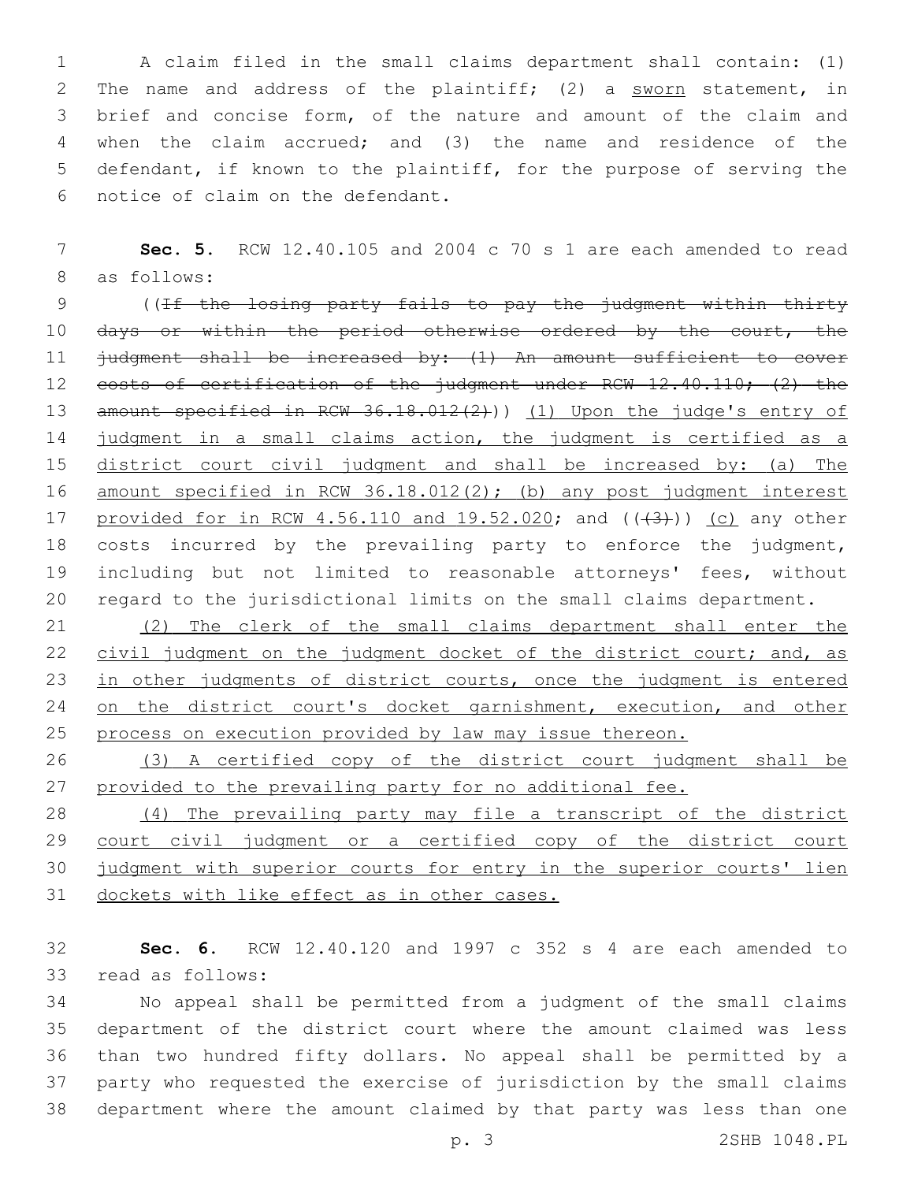A claim filed in the small claims department shall contain: (1) The name and address of the plaintiff; (2) a sworn statement, in brief and concise form, of the nature and amount of the claim and when the claim accrued; and (3) the name and residence of the defendant, if known to the plaintiff, for the purpose of serving the 6 notice of claim on the defendant.

7 **Sec. 5.** RCW 12.40.105 and 2004 c 70 s 1 are each amended to read 8 as follows:

9 ((If the losing party fails to pay the judgment within thirty 10 days or within the period otherwise ordered by the court, the 11 judgment shall be increased by: (1) An amount sufficient to cover 12 costs of certification of the judgment under RCW 12.40.110; (2) the 13 amount specified in RCW 36.18.012(2))) (1) Upon the judge's entry of 14 judgment in a small claims action, the judgment is certified as a 15 district court civil judgment and shall be increased by: (a) The 16 amount specified in RCW 36.18.012(2); (b) any post judgment interest 17 provided for in RCW 4.56.110 and  $19.52.020$ ; and  $((43+))$  (c) any other 18 costs incurred by the prevailing party to enforce the judgment, 19 including but not limited to reasonable attorneys' fees, without 20 regard to the jurisdictional limits on the small claims department.

21 (2) The clerk of the small claims department shall enter the 22 civil judgment on the judgment docket of the district court; and, as 23 in other judgments of district courts, once the judgment is entered 24 on the district court's docket garnishment, execution, and other 25 process on execution provided by law may issue thereon.

26 (3) A certified copy of the district court judgment shall be 27 provided to the prevailing party for no additional fee.

 (4) The prevailing party may file a transcript of the district 29 court civil judgment or a certified copy of the district court judgment with superior courts for entry in the superior courts' lien dockets with like effect as in other cases.

32 **Sec. 6.** RCW 12.40.120 and 1997 c 352 s 4 are each amended to 33 read as follows:

 No appeal shall be permitted from a judgment of the small claims department of the district court where the amount claimed was less than two hundred fifty dollars. No appeal shall be permitted by a party who requested the exercise of jurisdiction by the small claims department where the amount claimed by that party was less than one

p. 3 2SHB 1048.PL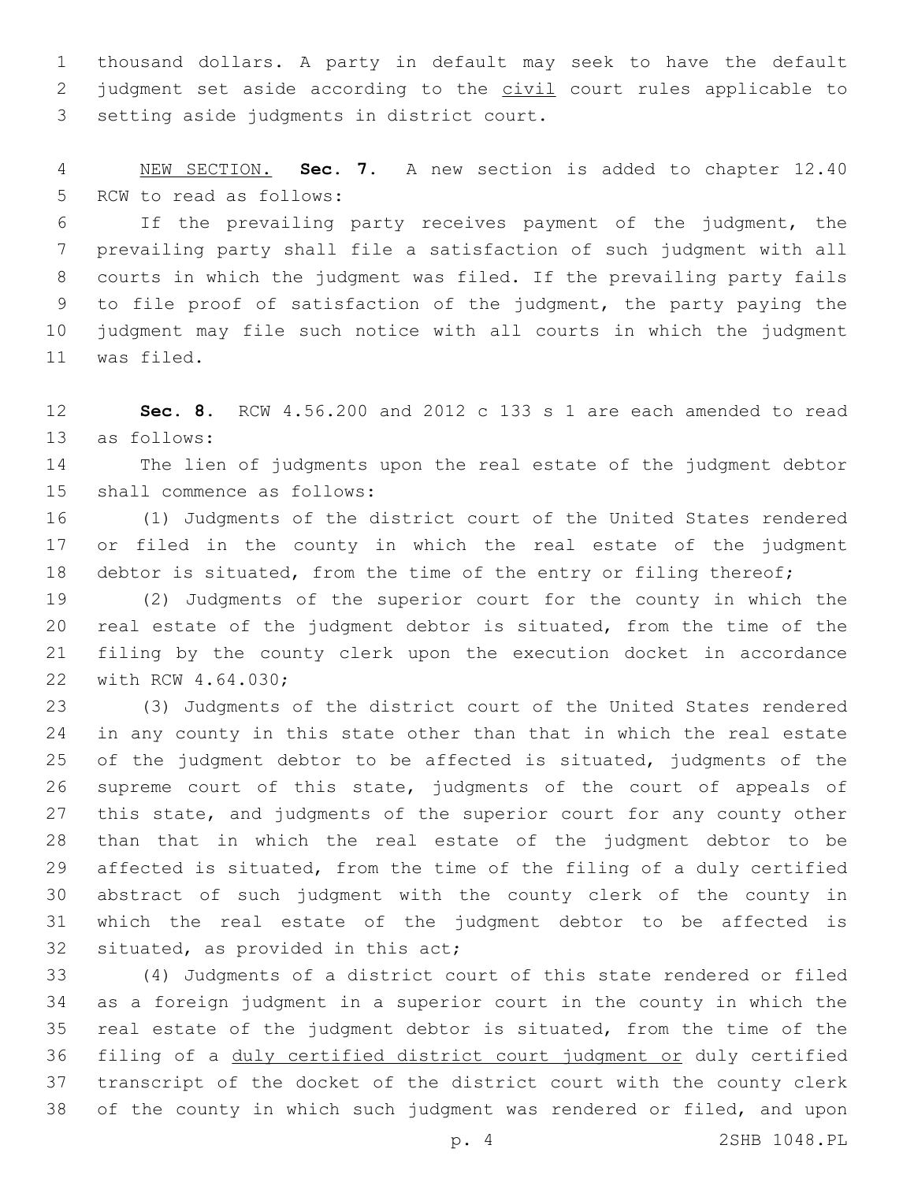thousand dollars. A party in default may seek to have the default 2 judgment set aside according to the civil court rules applicable to 3 setting aside judgments in district court.

 NEW SECTION. **Sec. 7.** A new section is added to chapter 12.40 5 RCW to read as follows:

 If the prevailing party receives payment of the judgment, the prevailing party shall file a satisfaction of such judgment with all courts in which the judgment was filed. If the prevailing party fails to file proof of satisfaction of the judgment, the party paying the judgment may file such notice with all courts in which the judgment 11 was filed.

 **Sec. 8.** RCW 4.56.200 and 2012 c 133 s 1 are each amended to read 13 as follows:

 The lien of judgments upon the real estate of the judgment debtor 15 shall commence as follows:

 (1) Judgments of the district court of the United States rendered or filed in the county in which the real estate of the judgment 18 debtor is situated, from the time of the entry or filing thereof;

 (2) Judgments of the superior court for the county in which the real estate of the judgment debtor is situated, from the time of the filing by the county clerk upon the execution docket in accordance 22 with RCW 4.64.030;

 (3) Judgments of the district court of the United States rendered in any county in this state other than that in which the real estate of the judgment debtor to be affected is situated, judgments of the supreme court of this state, judgments of the court of appeals of this state, and judgments of the superior court for any county other than that in which the real estate of the judgment debtor to be affected is situated, from the time of the filing of a duly certified abstract of such judgment with the county clerk of the county in which the real estate of the judgment debtor to be affected is 32 situated, as provided in this act;

 (4) Judgments of a district court of this state rendered or filed as a foreign judgment in a superior court in the county in which the real estate of the judgment debtor is situated, from the time of the 36 filing of a duly certified district court judgment or duly certified transcript of the docket of the district court with the county clerk of the county in which such judgment was rendered or filed, and upon

p. 4 2SHB 1048.PL